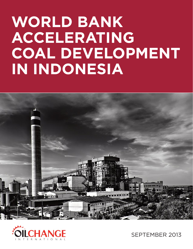# **WORLD BANK ACCELERATING COAL DEVELOPMENT IN INDONESIA**





SEPTEMBER 2013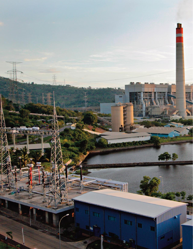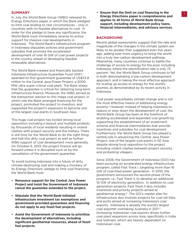In July, the World Bank Group (WBG) released its Energy Directions paper, in which the Bank pledged to limit coal lending to rare circumstances – only in countries with no feasible alternatives to coal. In order for this pledge to have any significance, the World Bank must immediately reverse its active support for massive coal developments in Indonesia. The World Bank's infrastructure program in Indonesia stipulates policies and government subsidies that promote the accelerated development of over 16 GW of coal power projects in the country ahead of developing feasible renewable alternatives.

The World Bank-created and financially backed Indonesia Infrastructure Guarantee Fund (IIGF) awarded its first government guarantee of US\$33.9 million to the Central Java Power Project, a 2000 MW ultra-super critical coal plant. The Bank states that the guarantee is critical for obtaining long-term infrastructure finance. Moreover, the WBG served as the transaction advisor to this mega coal project, in which role the Bank arranged financing for the project, promoted the project to investors, and supported the project's expansion to become one of the largest coal plants in Southeast Asia.

This huge coal project has incited strong local opposition including a lawsuit and multiple protests by thousands of local residents resulting in violent clashes with project security and the military. There is still time for the World Bank to do the right thing and halt this dirty coal project as well as further WBG support of coal development more generally. On October 6, 2013, the project finance will go forward unless it is disrupted such as by the cancellation of the government guarantee.

To avoid locking Indonesia into a future of dirty, climate-destroying coal and making a mockery of its Energy Directions' pledge to limit coal financing, the World Bank must:

- **Renounce support for the Central Java Power Project and insist the Government of Indonesia cancel the guarantee extended to the project.**
- **Stipulate that the World Bank-initiated infrastructure investment tax exemptions and government-provided guarantees and financing do not apply to any fossil fuel projects.**
- **Assist the Government of Indonesia to prioritize the development of alternatives, including significant geothermal resources, ahead of fossil fuel projects.**

**SUMMARY** <sup>1</sup> **• Ensure that the limit on coal financing in the Energy Directions paper is comprehensive and applies to all forms of World Bank Group support, including development policy loans, financial intermediaries, and advisory services.**

#### **BACKGROUND**

Recent global assessments suggest that the rate and magnitude of the changes in the climate system are likely to be greater than suggested even five years ago, adding ever more urgency to bring the world into a truly low-carbon development pathway. Meanwhile, many countries continue to battle the challenge of access to energy for the poor, including Indonesia, where the electrification rate is only 73 percent.i Yet, the World Bank Group continues to fail in both demonstrating a low-carbon development approach, and in taking the most effective approach for scaling up access to energy for the world's poorest, as demonstrated by its recent activity in Indonesia.

Coal power exacerbates climate change and is not the most effective means of addressing energy poverty.<sup>ii</sup> However, instead of helping Indonesia to reduce or slow down the development of coal, the World Bank Group has been at the forefront of enabling accelerated and expanded coal growth by supporting the establishment of an investment scheme and financial intermediaries that provide incentives and subsidies for coal development. Furthermore, the World Bank Group has played a central role in advancing the Central Java Power Project, one of the largest coal plants in SE Asia despite strong local opposition to the project including violent clashes between project security and protesting villagers.

Since 2006, the Government of Indonesia (GOI) has been pursuing an accelerated energy infrastructure program, called Fast Track I, targeting more than 16 GW of coal-fired power generation. In 2010, the government announced the second phase of the program, i.e., Fast Track II, to develop an additional 10 GW of electricity generation. In addition to coal generation projects, Fast Track II also includes incentives and priority projects aimed at geothermal energy.<sup>iii</sup> The GOI's master plan for infrastructure also involves projects for coal rail links and ports aimed at increasing Indonesia's coal exports. Indonesia is already the world's largest coal exporter overtaking Australia in 2011.<sup>iv</sup> Increasing Indonesian coal exports drives further coal plant expansion across Asia, specifically in India and Vietnam, which are heavily dependent on Indonesian coal.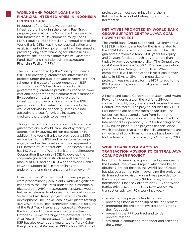#### <sup>2</sup> **WORLD BANK POLICY LOANS AND FINANCIAL INTERMEDIARIES IN INDONESIA PROMOTE COAL**

In support of the GOI's development of infrastructure, including the energy Fast Track program, since 2007 the World Bank has provided four Infrastructure Development Policy Loans (IDPL) totaling US\$850 million. A central part of the World Bank IDPLs was the conceptualization and establishment of two government facilities aimed at providing long-term financing for infrastructure projects: the Indonesia Infrastructure Guarantee Fund (IIGF) and the Indonesia Infrastructure Financing Facility (IIFF).<sup>v,vi</sup>

The IIGF is mandated by the Ministry of Finance (MOF) to provide guarantees for infrastructure projects under the public-private partnership (PPP) scheme. In the case of power generation, IIGF supports the GOI's Fast Track projects. IIGF government guarantees provide insurance at lower cost and longer tenor than commercial insurance.<sup>vii</sup> By covering almost all the risks related to infrastructure projects at lower costs, the IIGF guarantees can turn infrastructure projects that would otherwise be financially unfeasible into attractive projects for private investors and creditworthy projects to bankers. Viii

Though the IIGF's own capital can be limited, coguarantors and a World Bank standby facility of approximately US\$480 million backstop it.<sup>ix</sup> In addition, the World Bank also provided a US\$30 million loan to the IIGF and "a platform for ongoing engagement in the development and appraisal of PPP infrastructure operations." For example, IIGF has MOU's with the World Bank and the Singapore Cooperation Enterprise (SCE) to develop the corporate governance structure and operations manual of IIGF and an MOU with the World Bank's MIGA to support IIGF in streamlining the underwriting and risk management framework.<sup>xi</sup>

Given that the GOI's Fast Track I power projects were predominantly coal plants, without significant changes to the Fast Track project list, it essentially dictated that WBG infrastructure assistance would further accelerate development of the coal industry. So far, the Fast Track I projects listed as "under development" include 40 coal power plants totaling 16.4 GW.<sup>xii</sup> In total, coal generation accounts for 94% of the Fast Track I generation capacity. Moreover, the first project to receive an IIGF guarantee in October 2011 was the huge coal-powered Central Java Power Project (or Jawa Tengah Power Plant). IIGF has also extended a guarantee to Puruk Cahu-Bangkuang Coal Railway, a US\$3 billion, 385 km rail

project to connect coal mines in northern Kalimantan to a port at Batanjung in southern Kalimantan.

## **INITIATIVES PROMOTED BY WORLD BANK GROUP SUPPORT CENTRAL JAVA COAL POWER PROJECT**

The World Bank Group-supported IIGF provided a US\$33.9 million guarantee for the risks related to the US\$4 billion coal-fired power plant. The IIGF guarantee provides a tenor of 16 years for equity and 21 years for debt, much longer tenors than are typically provided commercially.<sup>xiii</sup> The Central Java Coal Power Plant is a 2,000 MW ultra-super critical power plant in Batang, Central Java. When completed, it will be one of the largest coal power plants in SE Asia. Given the mega size of the project, it was necessary for the MOF to add to the IIGF by providing an additional government guarantee.

J-Power and Itochu Corporation of Japan and Adaro Power of Indonesia won the bid for a 25-year contract to build, own, operate and transfer the new Central Java facility. The project includes the 2,000 MW power plant and transmission facilities. The consortium has secured a loan from Sumitomo Mitsui Banking Corporation and the Japan Bank for International Cooperation (JBIC) for financing of the US\$4 billion plant.xiv The project's financial close, which stipulates that all the financial agreements are signed and all conditions for finance have been met for the transfer of funds to begin, is October 6, 2013.

### **WORLD BANK GROUP ACTS AS TRANSACTION ADVISOR TO CENTRAL JAVA COAL POWER PROJECT**

In addition to enabling a government guarantee for the Central Java Power Project, which was key to obtaining project finance, the World Bank Group has played a central role in advancing the project as its Transaction Advisor. A grant was provided to the state power company (PLN) to pay for the International Finance Corporation's (IFC, the World Bank's private sector arm) advisory work.<sup>xv</sup> As a transaction advisor, IFC's work involves: xvi

- analyzing the project's fundamentals;
- providing financial modeling of the PPP project;
- promoting the project to investors and getting their feedback;
- preparing the PPP contract and tender procedures; and
- assisting in conducting the tender and selecting the winner.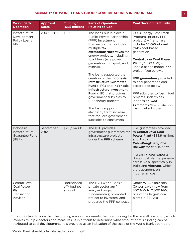## **SUMMARY OF WORLD BANK GROUP COAL MEASURES IN INDONESIA**

| <b>World Bank</b><br><b>Operation</b>                          | <b>Approval</b><br><b>Dates</b> | <b>Funding*</b><br>(US\$ million)   | <b>Parts of Operation</b><br><b>Relating to Coal</b>                                                                                                                                                                                                                                                                                                                                                                                                                                                                                                                                                         | <b>Coal Development Links</b>                                                                                                                                                                                                                                                                                                                                                                                                                                                 |
|----------------------------------------------------------------|---------------------------------|-------------------------------------|--------------------------------------------------------------------------------------------------------------------------------------------------------------------------------------------------------------------------------------------------------------------------------------------------------------------------------------------------------------------------------------------------------------------------------------------------------------------------------------------------------------------------------------------------------------------------------------------------------------|-------------------------------------------------------------------------------------------------------------------------------------------------------------------------------------------------------------------------------------------------------------------------------------------------------------------------------------------------------------------------------------------------------------------------------------------------------------------------------|
| Infrastructure<br>Development<br>Policy Loans<br>$I-IV$        | $2007 - 2010$                   | \$850                               | The loans put in place a<br>Public-Private Partnership<br>(PPP) Investment<br>Framework that includes<br>multiple tax<br>exemptions/incentives for<br>energy projects, including<br>fossil fuels (e.g, power<br>generation, transport, and<br>mining).<br>The loans supported the<br>creation of the Indonesia<br><b>Infrastructure Guarantee</b><br>Fund (IIFG) and Indonesia<br><b>Infrastructure Investment</b><br>Fund (IIIF) that provides<br>government subsidies to<br>PPP energy projects.<br>The loans support<br>electricity tariff increase<br>that reduces government<br>subsidies to consumers. | GOI's Energy Fast Track<br>Program (priority PPP<br>projects) - first phase<br>includes 16 GW of coal<br>(94% coal-based<br>generation).<br><b>Central Java Coal Power</b><br><b>Plant</b> (2,000 MW) is<br>upheld as the model PPP<br>project (see below).<br><b>IIGF guarantees provided</b><br>to coal generation and<br>export (see below).<br>PPP subsidies to fossil fuel<br>projects undermines<br>Indonesia's G20<br>commitment to phase out<br>fossil fuel subsidies |
| Indonesia<br>Infrastructure<br><b>Guarantee Fund</b><br>(IIGF) | September<br>2012               | $$29/$480^{\circ}$                  | The IIGF provides<br>government guarantees for<br>infrastructure projects<br>under the PPP scheme.                                                                                                                                                                                                                                                                                                                                                                                                                                                                                                           | IIGF guarantees provided<br>to Central Java Coal<br>Power Plant (\$33.9 million)<br>and <b>Puruk</b><br><b>Cahu-Bangkuang Coal</b><br>Railway for coal exports.<br>Increasing coal exports<br>drives coal plant expansion<br>across Asia, specifically in<br>India and Vietnam, which<br>are dependent on<br>Indonesian coal.                                                                                                                                                 |
| Central Java<br>Coal Power<br>Plant<br>Transaction<br>Advisor  |                                 | Undisclosed<br>off-budget<br>amount | The IFC (World Bank's<br>private sector arm)<br>analyzed project<br>fundamentals; promoted<br>project to investors; and<br>prepared the PPP contract.                                                                                                                                                                                                                                                                                                                                                                                                                                                        | Under WBG's advisory,<br>Central Java grew from<br>800 MW to 2,000 MW,<br>one of the largest coal<br>plants in SE Asia.                                                                                                                                                                                                                                                                                                                                                       |

\*It is important to note that the funding amount represents the total funding for the overall operation, which involves multiple sectors and measures. It is difficult to determine what amount of this funding can be attributed to coal development. It is provided as an indication of the scale of the World Bank operation.

^World Bank stand-by facility backstopping IIGF.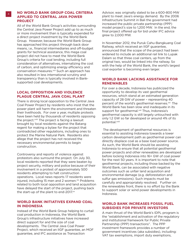#### <sup>4</sup> **NO WORLD BANK GROUP COAL CRITERIA APPLIED TO CENTRAL JAVA POWER PROJECT**

All of the World Bank Group's activities surrounding the Central Java Power Project add up to as much or more involvement than is typically expended for a direct project investment by the World Bank Group. However, because the World Bank Group has approached this project through back door means, i.e., financial intermediaries and off-budget grants for technical assistance, this mega coal project did not have to meet the World Bank Group's criteria for coal lending, including full consideration of alternatives, internalizing the cost of carbon, and optimizing energy efficiency and conservation measures.<sup>xvii</sup> Such an approach has also resulted in less international scrutiny and transparency than is typically involved in Banksupported coal developments.

### **LOCAL OPPOSITION AND VIOLENCE PLAGUE CENTRAL JAVA COAL PLANT**

There is strong local opposition to the Central Java Coal Power Project by residents who insist that the power plant will harm the environment and threaten their livelihoods. For over a year, multiple protests have been held by thousands of residents opposing the project.<sup>xviii</sup> The project is facing a lawsuit brought by local residents against the Batang regent for making a bylaw for the project that contradicted other regulations, including ones to protect the Marine Natural Park. Residents also allege that the project has not received the necessary environmental permits to begin construction.

Controversy and reports of violence against protestors also surround the project. On July 30, local residents reported that they were beaten by project security, military and police because of their involvement in a protest of approximately 500 residents attempting to halt construction operations. Local news reports 17 residents were injured, including 15 men and 2 women.xix Problems related to both local opposition and land acquisition have delayed the start of the project, pushing back the start-up of the plant to end-2017.xx

#### **WORLD BANK INITIATIVES EXPAND COAL IN INDONESIA**

Instead of the World Bank Group helping to curtail coal production in Indonesia, the World Bank Group's infrastructure initiatives have increased direct support for and the size of coal developments. The Central Java Coal Power Project, which received an IIGF guarantee, an MOF guarantee, and IFC assistance as Transaction

Advisor, was originally slated to be a 600-800 MW plant to meet Java's energy demand. By the 2006 Infrastructure Summit in Bali the government had increased the public private partnership (PPP) model project's size to 1,200 MW. In the end, the final project offered up for bid under IFC advice grew to 2,000 MW.

In November 2012, the Puruk Cahu-Bangkuang Coal Railway, which received an IIGF guarantee, announced that the scope of the project had been widened to include an additional rail link to Lupak Dalam so that three coal centers, up from the original two, would be linked into the railway. So with the help of the World Bank, the world's largest coal exporter is becoming even larger.

#### **WORLD BANK LACKING ASSISTANCE FOR RENEWABLES**

For over a decade, Indonesia has publicized the opportunity to develop its vast geothermal resources, which stand at an estimated generation capacity of 28 GW of power – representing 40 percent of the world's geothermal reserves.<sup>xxi</sup> The World Bank has been slow and inadequate in its support for geothermal.<sup>xxii</sup> Thus, Indonesia's geothermal capacity is still largely untouched with only 1.2 GW so far developed or around 4% of its potential.xxiii

The development of geothermal resources is essential to assisting Indonesia towards a lower carbon development path as geothermal power can directly displace coal as a base load power source. As such, the World Bank should be assisting Indonesia to ensure that all potential geothermal power projects and other renewables are developed before locking Indonesia into 16+ GW of coal power for the next 50 years. It is important to note that geothermal projects, including those backed by the World Bank, can be associated with negative outcomes such as unfair land acquisition and environmental damage (e.g. deforestation and sulfur gas emissions). Such impacts must be carefully and appropriately resolved. Further on the renewables front, there is no effort by the Bank to support solar or wind power developments in Indonesia.

## **WORLD BANK INCREASES FOSSIL FUEL SUBSIDIES FOR PRIVATE INVESTORS**

A main thrust of the World Bank's IDPL program is the "establishment and activation of the regulatory and institutional framework for Public Private Partnership (PPP) transactions". The PPP investment framework provides a number of government incentives (aka subsidies), including: VAT tax exemptions, import duty exemptions,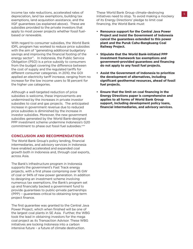depreciation, land tax exemptions, building tax exemptions, land acquisition assistance, and the IIGF guarantees (as explained above). These are subsidies provided to the private investors that apply to most power projects whether fossil fuelbased or renewable.

With regard to consumer subsidies, the World Bank IDPL program has worked to reduce price subsidies with the aim of "generating additional budgetary savings and improving the financial footing of the energy sector". In Indonesia, the Public Service Obligation (PSO) is a price subsidy to consumers from the budget covering the difference between the cost of supply and the regulated tariffs for different consumer categories. In 2010, the GOI applied an electricity tariff increase, ranging from no increase for the low income users to 18 percent for the higher use categories.

Although a well-targeted reduction of price subsidies is welcome, these improvements are undermined by the increases in private investor subsidies to coal and gas projects. The anticipated increase in government revenue due to reduced price subsidies is diminished by the increase in investor subsidies. Moreover, the new government subsidies generated by the World Bank-designed PPP investment scheme undermine Indonesia's G20 commitment to phase out fossil fuel subsidies.xxiv

#### **CONCLUSION AND RECOMMENDATIONS**

The World Bank Group's policy lending, financial intermediaries, and advisory services in Indonesia have enabled accelerated and expanded coal growth both in Indonesia and, through coal exports, across Asia.

The Bank's infrastructure program in Indonesia supports the government's Fast Track energy projects, with a first phase comprising over 16 GW of coal or 94% of new power generation. In addition to designing an investment scheme involving numerous tax exemptions, the Bank's program set up and financially backed a government fund to provide guarantees to public-private partnerships (PPP) – guarantees critical to obtaining long-term project finance.

The first guarantee was granted to the Central Java Power Project, which when finished will be one of the largest coal plants in SE Asia. Further, the WBG took the lead in obtaining investors for the mega coal project as its Transaction Advisor. These WBG initiatives are locking Indonesia into a carbon intensive future – a future of climate destruction.

income tax rate reductions, accelerated rates of These World Bank Group climate-destroying initiatives need to stop. To avoid making a mockery of its Energy Directions' pledge to limit coal financing, the World Bank must:

- **Renounce support for the Central Java Power Project and insist the Government of Indonesia cancel the guarantees extended to this power plant and the Puruk Cahu-Bangkuang Coal Railway Project.**
- **Stipulate that the World Bank-initiated PPP investment framework tax exemptions and government-provided guarantees and financing do not apply to any fossil fuel projects.**
- **Assist the Government of Indonesia to prioritize the development of alternatives, including significant geothermal resources, ahead of fossil fuel projects.**
- **Ensure that the limit on coal financing in the Energy Directions paper is comprehensive and applies to all forms of World Bank Group support, including development policy loans, financial intermediaries, and advisory services.**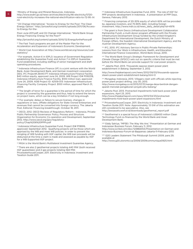i Ministry of Energy and Mineral Resources, Indonesia.

http://www.esdm.go.id/news-archives/electricity/46-electricity/5720 rural-electricity-increases-the-national-electrification-ratio-to-72-95-.ht ml

ii Oil Change International, "Access to Energy for the Poor: The Clean Energy Option." http://priceofoil.org/content/uploads/2011/06/Accessto-Energy-for-the-

Poor-June-2011.pdf; and Oil Change International, "World Bank Group Energy Financing: Energy for the Poor?"

http://priceofoil.org/content/uploads/2010/12/EnergyforthePoor.pdf

iii The Fast Track programs are part of the Master Plan for the Acceleration and Expansion of Indonesia's Economic Development.

iv World Coal Association at http://www.worldcoal.org/resources/coalstatistics/

<sup>v</sup> For example, Action 6 in IDPL3: Issuance of Government Regulation establishing the Guarantee Fund, and Action 7 in IDPL4: Guarantee Fund established, including staffing of senior management and draft operating procedures*.*

vi Indonesia Infrastructure Finance (IIF) is a joint venture with the World Bank, Asian Development Bank, and German investment corporation DEG. IFC Project# 26443 PT Indonesia Infrastructure Finance Facility. \$40 million equity, approved June 24, 2009. WB Project ID# P092218, Indonesia Infrastructure Finance Facility. \$100 million loan, approved June 24, 2009. ADB Project ID: 42109-013: Indonesian Infrastructure Financing Facility Company Project. \$100 million, approved March 31, 2009.

vii The length of tenor for a guarantee is the period of time for which the project is covered by the guarantee and thus, help to extend the tenors on project loans, which can be a key limitation if not long enough.

viii For example: delays or failure to secure licenses, changes in regulations or laws, offtake obligations for State Owned Enterprises and revenues that cannot be converted into foreign currency. The Jakarta Post, Editorial: Financing breakthrough. October 18, 2011.

ix OECD, 2012. OECD Reviews of Regulatory Reform - Indonesia, Private-Public Partnership Governance: Policy, Process and Structure. Organization for Economic Co-operation and Development, September 2012. http://www.oecd.org/gov/regulatorypolicy/Chap%206%20PPPs.pdf

<sup>x</sup> Indonesia Infrastructure Guarantee Fund, Project ID# P118916, approved: September 2012. Qualifying projects will be those which are apprised by the WB and meet WB policies. In order to prevent the mingling of WB funding with IIGF capital, the WB loan proceeds will be disbursed at the time a claim is made and assessed as payable by IIGF for a WB-Supported IIGF-project.

xi MIGA is the World Bank's Multilateral Investment Guarantee Agency.

xii There are also 2 geothermal projects totaling 440 MW (both received IIGF guarantees) and 2 gas projects totaling 560 MW.

PricewaterhouseCooper, 2011. Electricity in Indonesia: Investment and Taxation Guide 2011.

xiii Indonesia Infrastructure Guarantee Fund, 2012. The role of IIGF for PPP projects development in Indonesia. A presentation at PPP Days, Geneva, February 2012.

xiv Financing comprises of 20-30% equity of which 60% will be provided by Japanese investors, and 70-80% debt, including foreign investment. http://www.indii.co.id/news\_daily\_detail.php?id=4976

xv The grant is from Devco (Infrastructure Development Collaboration Partnership Fund), a multi-donor program affiliated with the Private Infrastructure Development Group funded by the United Kingdom's Department for International Development, the Dutch Ministry of Foreign Affairs, the Swedish International Development Agency, and the Austrian Development Agency.

xvi IFC, 2010. IFC Advisory Service in Public-Private Partnerships: Lessons from Our Work in Infrastructure, Health, and Education. International Finance Corporation, World Bank Group, 2010.

xvii The World Bank Group's *Strategic Framework for Development and Climate Change (SFDCC)* sets out six specific criteria that must be met before the World Bank can provide support for coal power projects.

xviii *Jakarta Post*, 2013. Thousands oppose steam power plant establishment in Batang. September 3, 2012.

http://www.thejakartapost.com/news/2012/09/03/thousands-opposesteam-power-plant-establishment-batang.html-0

xix *Mongabay Indonesia*, 2013. Villagers clash with officials while rejecting power plant project drilling. July 30, 2013. http://www.mongabay.co.id/2013/07/31/warga-desa-bentrok-denganaparat-menolak-pengeboran-proyek-pltu-batang/

xx *Jakarta Post*, 2013. Protracted impediments hold back power plant expansions, April 23, 2013. http://www.thejakartapost.com/news/2013/04/23/protractedimpediments-hold-back-power-plant-expansions.html

<sup>xxi</sup> PricewaterhouseCooper, 2011. Electricity in Indonesia: Investment and Taxation Guide 2011. Note: Approximately, 13 GW of this estimation are still considered to be speculative. Also, see http://awsassets.wwf.or.id/downloads/geothermal\_report.pdf

xxii Geothermal is a special focus of Indonesia's US\$400 million Clean Technology Fund co-financed by the World Bank and Asian Development Bank.

xxiii Eddy Satriya, "MP3EI: The Way We Are," Presentation at German and Indonesian Business Forum. February 11, 2012. http://www.scribd.com/doc/124882053/Presentation-on-German-and-

Indonesia-Business-Forum-at-Bappenas-Jakarta-11-February-2012

xxiv G20 Leaders Statement The Pittsburgh Summit 2009, para 29; available at

http://www.g20.utoronto.ca/2009/2009communique0925.html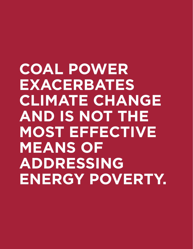**COAL POWER EXACERBATES CLIMATE CHANGE AND IS NOT THE MOST EFFECTIVE MEANS OF ADDRESSING ENERGY POVERTY.**